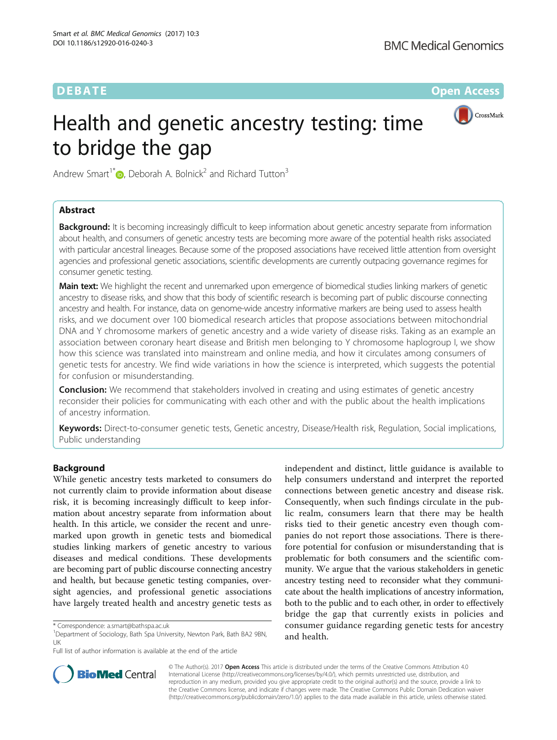to bridge the gap

**DEBATE CONSERVATION CONSERVATION** 



Andrew Smart<sup>1\*</sup>  $\bullet$ , Deborah A. Bolnick<sup>2</sup> and Richard Tutton<sup>3</sup>

# Abstract

Background: It is becoming increasingly difficult to keep information about genetic ancestry separate from information about health, and consumers of genetic ancestry tests are becoming more aware of the potential health risks associated with particular ancestral lineages. Because some of the proposed associations have received little attention from oversight agencies and professional genetic associations, scientific developments are currently outpacing governance regimes for consumer genetic testing.

Main text: We highlight the recent and unremarked upon emergence of biomedical studies linking markers of genetic ancestry to disease risks, and show that this body of scientific research is becoming part of public discourse connecting ancestry and health. For instance, data on genome-wide ancestry informative markers are being used to assess health risks, and we document over 100 biomedical research articles that propose associations between mitochondrial DNA and Y chromosome markers of genetic ancestry and a wide variety of disease risks. Taking as an example an association between coronary heart disease and British men belonging to Y chromosome haplogroup I, we show how this science was translated into mainstream and online media, and how it circulates among consumers of genetic tests for ancestry. We find wide variations in how the science is interpreted, which suggests the potential for confusion or misunderstanding.

**Conclusion:** We recommend that stakeholders involved in creating and using estimates of genetic ancestry reconsider their policies for communicating with each other and with the public about the health implications of ancestry information.

Keywords: Direct-to-consumer genetic tests, Genetic ancestry, Disease/Health risk, Regulation, Social implications, Public understanding

## Background

While genetic ancestry tests marketed to consumers do not currently claim to provide information about disease risk, it is becoming increasingly difficult to keep information about ancestry separate from information about health. In this article, we consider the recent and unremarked upon growth in genetic tests and biomedical studies linking markers of genetic ancestry to various diseases and medical conditions. These developments are becoming part of public discourse connecting ancestry and health, but because genetic testing companies, oversight agencies, and professional genetic associations have largely treated health and ancestry genetic tests as

independent and distinct, little guidance is available to help consumers understand and interpret the reported connections between genetic ancestry and disease risk. Consequently, when such findings circulate in the public realm, consumers learn that there may be health risks tied to their genetic ancestry even though companies do not report those associations. There is therefore potential for confusion or misunderstanding that is problematic for both consumers and the scientific community. We argue that the various stakeholders in genetic ancestry testing need to reconsider what they communicate about the health implications of ancestry information, both to the public and to each other, in order to effectively bridge the gap that currently exists in policies and consumer guidance regarding genetic tests for ancestry and health.



© The Author(s). 2017 Open Access This article is distributed under the terms of the Creative Commons Attribution 4.0 International License [\(http://creativecommons.org/licenses/by/4.0/](http://creativecommons.org/licenses/by/4.0/)), which permits unrestricted use, distribution, and reproduction in any medium, provided you give appropriate credit to the original author(s) and the source, provide a link to the Creative Commons license, and indicate if changes were made. The Creative Commons Public Domain Dedication waiver [\(http://creativecommons.org/publicdomain/zero/1.0/](http://creativecommons.org/publicdomain/zero/1.0/)) applies to the data made available in this article, unless otherwise stated.

<sup>\*</sup> Correspondence: [a.smart@bathspa.ac.uk](mailto:a.smart@bathspa.ac.uk) <sup>1</sup>

Department of Sociology, Bath Spa University, Newton Park, Bath BA2 9BN, UK

Full list of author information is available at the end of the article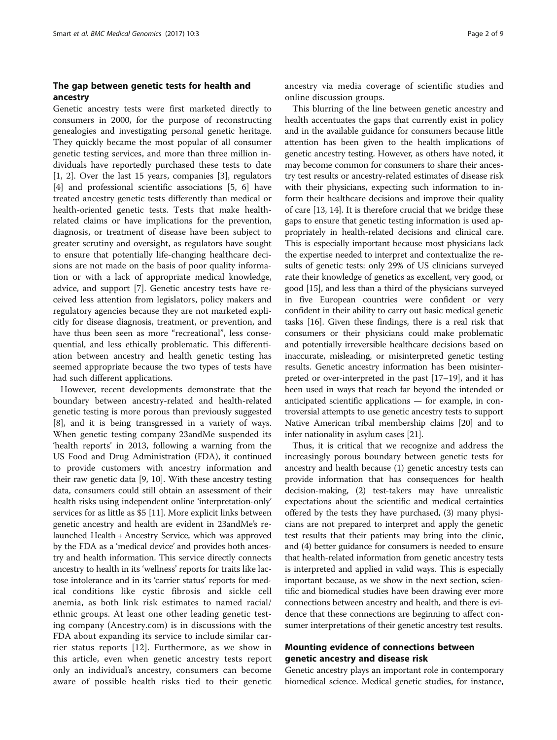## The gap between genetic tests for health and ancestry

Genetic ancestry tests were first marketed directly to consumers in 2000, for the purpose of reconstructing genealogies and investigating personal genetic heritage. They quickly became the most popular of all consumer genetic testing services, and more than three million individuals have reportedly purchased these tests to date [[1, 2\]](#page-8-0). Over the last 15 years, companies [[3](#page-8-0)], regulators [[4\]](#page-8-0) and professional scientific associations [\[5](#page-8-0), [6\]](#page-8-0) have treated ancestry genetic tests differently than medical or health-oriented genetic tests. Tests that make healthrelated claims or have implications for the prevention, diagnosis, or treatment of disease have been subject to greater scrutiny and oversight, as regulators have sought to ensure that potentially life-changing healthcare decisions are not made on the basis of poor quality information or with a lack of appropriate medical knowledge, advice, and support [\[7](#page-8-0)]. Genetic ancestry tests have received less attention from legislators, policy makers and regulatory agencies because they are not marketed explicitly for disease diagnosis, treatment, or prevention, and have thus been seen as more "recreational", less consequential, and less ethically problematic. This differentiation between ancestry and health genetic testing has seemed appropriate because the two types of tests have had such different applications.

However, recent developments demonstrate that the boundary between ancestry-related and health-related genetic testing is more porous than previously suggested [[8\]](#page-8-0), and it is being transgressed in a variety of ways. When genetic testing company 23andMe suspended its 'health reports' in 2013, following a warning from the US Food and Drug Administration (FDA), it continued to provide customers with ancestry information and their raw genetic data [[9](#page-8-0), [10](#page-8-0)]. With these ancestry testing data, consumers could still obtain an assessment of their health risks using independent online 'interpretation-only' services for as little as \$5 [\[11\]](#page-8-0). More explicit links between genetic ancestry and health are evident in 23andMe's relaunched Health + Ancestry Service, which was approved by the FDA as a 'medical device' and provides both ancestry and health information. This service directly connects ancestry to health in its 'wellness' reports for traits like lactose intolerance and in its 'carrier status' reports for medical conditions like cystic fibrosis and sickle cell anemia, as both link risk estimates to named racial/ ethnic groups. At least one other leading genetic testing company (Ancestry.com) is in discussions with the FDA about expanding its service to include similar carrier status reports [\[12](#page-8-0)]. Furthermore, as we show in this article, even when genetic ancestry tests report only an individual's ancestry, consumers can become aware of possible health risks tied to their genetic ancestry via media coverage of scientific studies and online discussion groups.

This blurring of the line between genetic ancestry and health accentuates the gaps that currently exist in policy and in the available guidance for consumers because little attention has been given to the health implications of genetic ancestry testing. However, as others have noted, it may become common for consumers to share their ancestry test results or ancestry-related estimates of disease risk with their physicians, expecting such information to inform their healthcare decisions and improve their quality of care [[13, 14](#page-8-0)]. It is therefore crucial that we bridge these gaps to ensure that genetic testing information is used appropriately in health-related decisions and clinical care. This is especially important because most physicians lack the expertise needed to interpret and contextualize the results of genetic tests: only 29% of US clinicians surveyed rate their knowledge of genetics as excellent, very good, or good [\[15](#page-8-0)], and less than a third of the physicians surveyed in five European countries were confident or very confident in their ability to carry out basic medical genetic tasks [[16](#page-8-0)]. Given these findings, there is a real risk that consumers or their physicians could make problematic and potentially irreversible healthcare decisions based on inaccurate, misleading, or misinterpreted genetic testing results. Genetic ancestry information has been misinterpreted or over-interpreted in the past [\[17](#page-8-0)–[19](#page-8-0)], and it has been used in ways that reach far beyond the intended or anticipated scientific applications — for example, in controversial attempts to use genetic ancestry tests to support Native American tribal membership claims [\[20\]](#page-8-0) and to infer nationality in asylum cases [\[21\]](#page-8-0).

Thus, it is critical that we recognize and address the increasingly porous boundary between genetic tests for ancestry and health because (1) genetic ancestry tests can provide information that has consequences for health decision-making, (2) test-takers may have unrealistic expectations about the scientific and medical certainties offered by the tests they have purchased, (3) many physicians are not prepared to interpret and apply the genetic test results that their patients may bring into the clinic, and (4) better guidance for consumers is needed to ensure that health-related information from genetic ancestry tests is interpreted and applied in valid ways. This is especially important because, as we show in the next section, scientific and biomedical studies have been drawing ever more connections between ancestry and health, and there is evidence that these connections are beginning to affect consumer interpretations of their genetic ancestry test results.

## Mounting evidence of connections between genetic ancestry and disease risk

Genetic ancestry plays an important role in contemporary biomedical science. Medical genetic studies, for instance,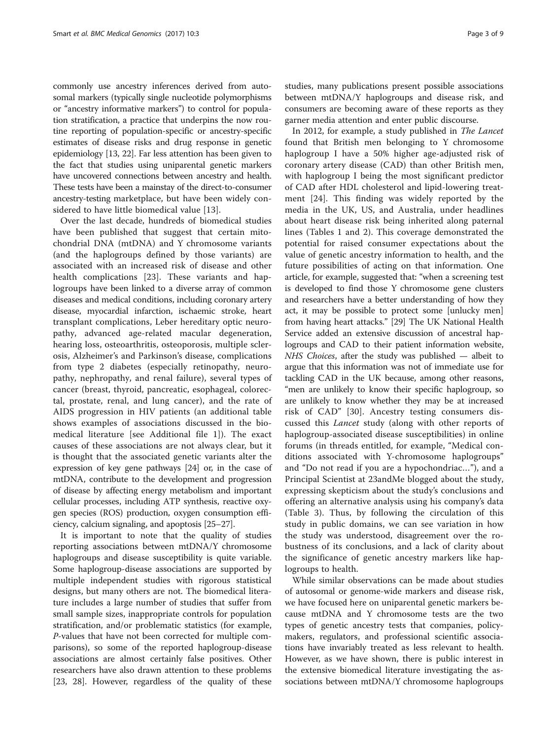commonly use ancestry inferences derived from autosomal markers (typically single nucleotide polymorphisms or "ancestry informative markers") to control for population stratification, a practice that underpins the now routine reporting of population-specific or ancestry-specific estimates of disease risks and drug response in genetic epidemiology [\[13, 22](#page-8-0)]. Far less attention has been given to the fact that studies using uniparental genetic markers have uncovered connections between ancestry and health. These tests have been a mainstay of the direct-to-consumer ancestry-testing marketplace, but have been widely considered to have little biomedical value [[13\]](#page-8-0).

Over the last decade, hundreds of biomedical studies have been published that suggest that certain mitochondrial DNA (mtDNA) and Y chromosome variants (and the haplogroups defined by those variants) are associated with an increased risk of disease and other health complications [[23\]](#page-8-0). These variants and haplogroups have been linked to a diverse array of common diseases and medical conditions, including coronary artery disease, myocardial infarction, ischaemic stroke, heart transplant complications, Leber hereditary optic neuropathy, advanced age-related macular degeneration, hearing loss, osteoarthritis, osteoporosis, multiple sclerosis, Alzheimer's and Parkinson's disease, complications from type 2 diabetes (especially retinopathy, neuropathy, nephropathy, and renal failure), several types of cancer (breast, thyroid, pancreatic, esophageal, colorectal, prostate, renal, and lung cancer), and the rate of AIDS progression in HIV patients (an additional table shows examples of associations discussed in the biomedical literature [see Additional file [1\]](#page-8-0)). The exact causes of these associations are not always clear, but it is thought that the associated genetic variants alter the expression of key gene pathways [[24](#page-8-0)] or, in the case of mtDNA, contribute to the development and progression of disease by affecting energy metabolism and important cellular processes, including ATP synthesis, reactive oxygen species (ROS) production, oxygen consumption efficiency, calcium signaling, and apoptosis [\[25](#page-8-0)–[27](#page-8-0)].

It is important to note that the quality of studies reporting associations between mtDNA/Y chromosome haplogroups and disease susceptibility is quite variable. Some haplogroup-disease associations are supported by multiple independent studies with rigorous statistical designs, but many others are not. The biomedical literature includes a large number of studies that suffer from small sample sizes, inappropriate controls for population stratification, and/or problematic statistics (for example, P-values that have not been corrected for multiple comparisons), so some of the reported haplogroup-disease associations are almost certainly false positives. Other researchers have also drawn attention to these problems [[23, 28\]](#page-8-0). However, regardless of the quality of these studies, many publications present possible associations between mtDNA/Y haplogroups and disease risk, and consumers are becoming aware of these reports as they garner media attention and enter public discourse.

In 2012, for example, a study published in The Lancet found that British men belonging to Y chromosome haplogroup I have a 50% higher age-adjusted risk of coronary artery disease (CAD) than other British men, with haplogroup I being the most significant predictor of CAD after HDL cholesterol and lipid-lowering treatment [\[24](#page-8-0)]. This finding was widely reported by the media in the UK, US, and Australia, under headlines about heart disease risk being inherited along paternal lines (Tables [1](#page-3-0) and [2\)](#page-5-0). This coverage demonstrated the potential for raised consumer expectations about the value of genetic ancestry information to health, and the future possibilities of acting on that information. One article, for example, suggested that: "when a screening test is developed to find those Y chromosome gene clusters and researchers have a better understanding of how they act, it may be possible to protect some [unlucky men] from having heart attacks." [\[29\]](#page-8-0) The UK National Health Service added an extensive discussion of ancestral haplogroups and CAD to their patient information website, NHS Choices, after the study was published — albeit to argue that this information was not of immediate use for tackling CAD in the UK because, among other reasons, "men are unlikely to know their specific haplogroup, so are unlikely to know whether they may be at increased risk of CAD" [\[30](#page-8-0)]. Ancestry testing consumers discussed this Lancet study (along with other reports of haplogroup-associated disease susceptibilities) in online forums (in threads entitled, for example, "Medical conditions associated with Y-chromosome haplogroups" and "Do not read if you are a hypochondriac…"), and a Principal Scientist at 23andMe blogged about the study, expressing skepticism about the study's conclusions and offering an alternative analysis using his company's data (Table [3](#page-6-0)). Thus, by following the circulation of this study in public domains, we can see variation in how the study was understood, disagreement over the robustness of its conclusions, and a lack of clarity about the significance of genetic ancestry markers like haplogroups to health.

While similar observations can be made about studies of autosomal or genome-wide markers and disease risk, we have focused here on uniparental genetic markers because mtDNA and Y chromosome tests are the two types of genetic ancestry tests that companies, policymakers, regulators, and professional scientific associations have invariably treated as less relevant to health. However, as we have shown, there is public interest in the extensive biomedical literature investigating the associations between mtDNA/Y chromosome haplogroups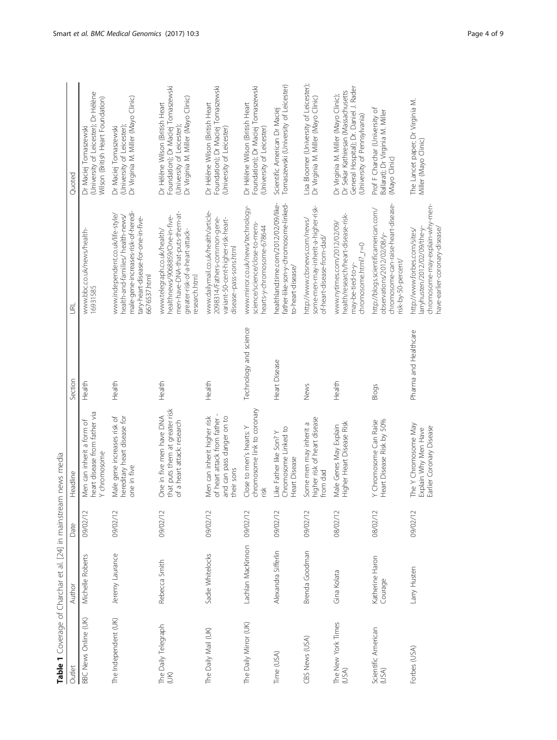<span id="page-3-0"></span>

| Table 1 Coverage of Charchar et al. [24] in mainstrea |                            |          | m news media                                                                                          |                        |                                                                                                                                                                     |                                                                                                                                                      |
|-------------------------------------------------------|----------------------------|----------|-------------------------------------------------------------------------------------------------------|------------------------|---------------------------------------------------------------------------------------------------------------------------------------------------------------------|------------------------------------------------------------------------------------------------------------------------------------------------------|
| Outlet                                                | Author                     | Date     | Headline                                                                                              | Section                | BL                                                                                                                                                                  | Quoted                                                                                                                                               |
| <b>BBC News Online (UK)</b>                           | Michelle Roberts           | 09/02/12 | heart disease from father via<br>Men can inherit a form of<br>Y chromosome                            | Health                 | www.bbc.co.uk/news/health-<br>16931585                                                                                                                              | (University of Leicester); Dr Hélène<br>Wilson (British Heart Foundation)<br>Dr Maciej Tomaszewski                                                   |
| The Independent (UK)                                  | Jeremy Laurance            | 09/02/12 | hereditary heart disease for<br>Male gene increases risk of<br>one in five                            | Health                 | male-gene-increases-risk-of-heredi-<br>www.independent.co.uk/life-style/<br>health-and-families/health-news/<br>tary-heart-disease-for-one-in-five-<br>6676537.html | (University of Leicester);<br>Dr Virginia M. Miller (Mayo Clinic)<br>Dr Maciej Tomaszewski                                                           |
| The Daily Telegraph<br>(UK)                           | Rebecca Smith              | 09/02/12 | that puts them at greater risk<br>One in five men have DNA<br>of a heart attack: research             | Health                 | men-have-DNA-that-puts-them-at-<br>healthnews/9068859/One-in-five-<br>www.telegraph.co.uk/health/<br>greater-risk-of-a-heart-attack-<br>esearch.html                | Foundation); Dr Maciej Tomaszewski<br>Dr Virginia M. Miller (Mayo Clinic)<br>Or Hélène Wilson (British Heart<br>(University of Leicester);           |
| The Daily Mail (UK)                                   | Sadie Whitelocks           | 09/02/12 | Men can inherit higher risk<br>and can pass danger on to<br>of heart attack from father<br>their sons | Health                 | www.dailymail.co.uk/health/article-<br>2098314/Fathers-common-gene-<br>variant-50-cent-higher-risk-heart-<br>disease-pass-sons.html                                 | Foundation); Dr Maciej Tomaszewski<br>Dr Hélène Wilson (British Heart<br>(University of Leicester)                                                   |
| The Daily Mirror (UK)                                 | Lachlan MacKinnon          | 09/02/12 | chromosome link to coronary<br>Close to men's hearts: Y<br>risk                                       | Technology and science | www.mirror.co.uk/news/technology-<br>science/science/close-to-mens-<br>nearts-y-chromosome-678644                                                                   | Foundation); Dr Maciej Tomaszewski<br>Dr Hélène Wilson (British Heart<br>(University of Leicester)                                                   |
| Time (USA)                                            | Alexandra Sifferlin        | 09/02/12 | Chromosome Linked to<br>Like Father like Son? Y<br>Heart Disease                                      | Heart Disease          | healthland.time.com/2012/02/09/like-<br>father-like-son-y-chromosome-linked-<br>to-heart-disease/                                                                   | Tomaszewski (University of Leicester)<br>Scientific American Dr Maciej                                                                               |
| CBS News (USA)                                        | Brenda Goodman             | 09/02/12 | higher risk of heart disease<br>Some men may inherit a<br>from dad                                    | News                   | some-men-may-inherit-a-higher-risk-<br>http://www.cbsnews.com/news/<br>of-heart-disease-from-dad/                                                                   | Lisa Bloomer (University of Leicester);<br>Dr Virginia M. Miller (Mayo Clinic)                                                                       |
| The New York Times<br>(USA)                           | Gina Kolata                | 08/02/12 | Higher Heart Disease Risk<br>Male Genes May Explain                                                   | Health                 | health/research/heart-disease-risk-<br>www.nytimes.com/2012/02/09/<br>chromosome.html?_r=0<br>may-be-tied-to-y-                                                     | General Hospital); Dr. Daniel J. Rader<br>Dr Sekar Kathiresan (Massachusetts<br>Dr Virginia M. Miller (Mayo Clinic);<br>(University of Pennsylvania) |
| Scientific American<br>(USA)                          | Katherine Haron<br>Courage | 08/02/12 | Y Chromosome Can Raise<br>Heart Disease Risk by 50%                                                   | Blogs                  | chromosome-can-raise-heart-disease-<br>http://blogs.scientificamerican.com/<br>observations/2012/02/08/y-<br>'isk-by-50-percent/                                    | Prof F Charchar (University of<br>Ballarat); Dr Virginia M. Miller<br>(Mayo Clinic)                                                                  |
| Forbes (USA)                                          | Larry Husten               | 09/02/12 | The Y Chromosome May<br>Earlier Coronary Disease<br>Explain Why Men Have                              | Pharma and Healthcare  | chromosome-may-explain-why-men-<br>larryhusten/2012/02/09/the-y-<br>have-earlier-coronary-disease,<br>http://www.forbes.com/sites/                                  | The Lancet paper; Dr Virginia M.<br>Miller (Mayo Clinic)                                                                                             |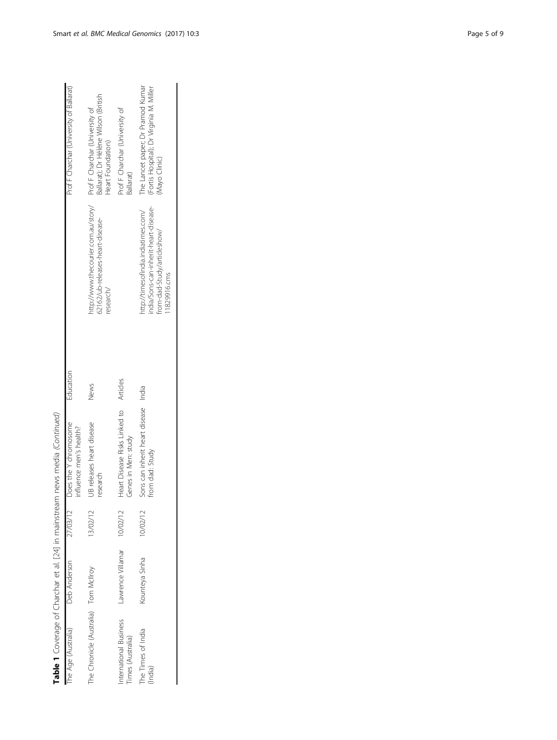|                                                                               | Prof F Charchar (University of Ballarat)         | Ballarat); Dr Hélène Wilson (British<br>Prof F Charchar (University of<br>Heart Foundation)<br>http://www.thecourier.com.au/story/<br>62162/ub-releases-heart-disease-<br>esearch/ | Prof F Charchar (University of<br>Ballarat)                   | The Lancet paper; Dr Pramod Kumar<br>(Fortis Hospital); Dr Virginia M. Miller<br>(Mayo Clinic)<br>ndia/Sons-can-inherit-heart-disease-<br>nttp://timesofindia.indiatimes.com/<br>from-dad-Study/articleshow/<br>1829916.cms |
|-------------------------------------------------------------------------------|--------------------------------------------------|------------------------------------------------------------------------------------------------------------------------------------------------------------------------------------|---------------------------------------------------------------|-----------------------------------------------------------------------------------------------------------------------------------------------------------------------------------------------------------------------------|
|                                                                               | Education                                        | <b>News</b>                                                                                                                                                                        |                                                               | India                                                                                                                                                                                                                       |
| Table 1 Coverage of Charchar et al. [24] in mainstream news media (Continued) | Does the Y chromosome<br>influence men's health? | UB releases heart disease<br>research                                                                                                                                              | Heart Disease Risks Linked to Articles<br>Genes in Men: study | Sons can inherit heart disease<br>from dad: Study                                                                                                                                                                           |
|                                                                               | 27/03/12                                         | 3/02/12                                                                                                                                                                            | 0/02/12                                                       | 0/02/12                                                                                                                                                                                                                     |
|                                                                               | Deb Anderson                                     |                                                                                                                                                                                    | awrence Villamar                                              | Kounteya Sinha                                                                                                                                                                                                              |
|                                                                               | The Age (Australia)                              | The Chronicle (Australia) Tom McIIroy                                                                                                                                              | International Business<br>Times (Australia)                   | The Times of India<br>(India)                                                                                                                                                                                               |

| I |                                     |
|---|-------------------------------------|
|   |                                     |
|   |                                     |
|   |                                     |
|   |                                     |
|   |                                     |
|   |                                     |
|   |                                     |
|   |                                     |
|   | てんこう こうこうこう りょうこうしょう                |
|   |                                     |
|   |                                     |
|   |                                     |
|   |                                     |
|   |                                     |
|   |                                     |
|   |                                     |
|   |                                     |
|   | ١                                   |
|   |                                     |
|   |                                     |
|   |                                     |
|   |                                     |
|   |                                     |
|   |                                     |
|   |                                     |
|   |                                     |
|   |                                     |
|   |                                     |
|   |                                     |
|   |                                     |
|   |                                     |
|   |                                     |
|   |                                     |
|   |                                     |
|   |                                     |
|   | 5<br>֦֧֢֚                           |
|   |                                     |
|   | $\ddot{\phantom{a}}$                |
|   |                                     |
|   |                                     |
|   |                                     |
|   |                                     |
|   |                                     |
|   |                                     |
|   | <br> <br> <br> <br> <br>i a control |
| Ï |                                     |
|   |                                     |
|   |                                     |
|   |                                     |
|   |                                     |
|   |                                     |
|   | j                                   |
|   |                                     |
|   |                                     |
|   |                                     |
|   |                                     |
|   |                                     |
|   |                                     |
|   |                                     |
|   |                                     |
|   | I                                   |
|   |                                     |
|   |                                     |
|   |                                     |
|   | :                                   |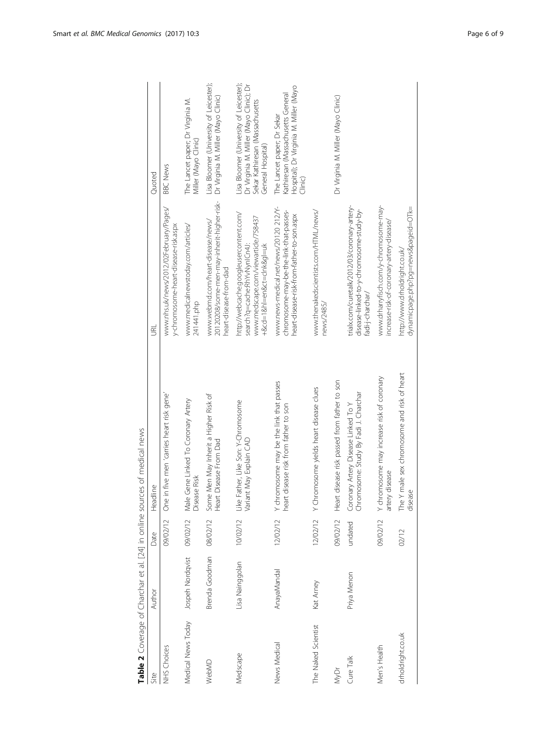<span id="page-5-0"></span>

| Site                | Author                    | Date     | Headline                                                                             | $\mathbb{E}$                                                                                                                              | Quoted                                                                                                                                     |
|---------------------|---------------------------|----------|--------------------------------------------------------------------------------------|-------------------------------------------------------------------------------------------------------------------------------------------|--------------------------------------------------------------------------------------------------------------------------------------------|
| NHS Choices         |                           | 09/02/12 | in five men 'carries heart risk gene'<br>One                                         | www.nhs.uk/news/2012/02February/Pages/<br>y-chromosome-heart-disease-risk.aspx                                                            | <b>BBC News</b>                                                                                                                            |
| Medical News Today  | Jospeh Nordqvist 09/02/12 |          | Gene Linked To Coronary Artery<br>Male Gene Li<br>Disease Risk                       | www.medicalnewstoday.com/articles/<br>241441.php                                                                                          | The Lancet paper; Dr Virginia M.<br>Miller (Mayo Clinic)                                                                                   |
| WebMD               | Brenda Goodman            | 08/02/12 | Some Men May Inherit a Higher Risk of<br>Heart Disease From Dad                      | 20120208/some-men-may-inherit-higher-risk-<br>www.webmd.com/heart-disease/news/<br>heart-disease-from-dad                                 | Lisa Bloomer (University of Leicester);<br>Dr Virginia M. Miller (Mayo Clinic)                                                             |
| Medscape            | Lisa Nainggolan           |          | 10/02/12 Like Father, Like Son: Y-Chromosome<br>Variant May Explain CAD              | http://webcache.googleusercontent.com/<br>www.medscape.com/viewarticle/758437<br>+&cd=1&hl=en&ct=clnk≷=uk<br>search?q=cache:RhYvNynICn4J: | Lisa Bloomer (University of Leicester);<br>Dr Virginia M. Miller (Mayo Clinic); Dr<br>Sekar Kathiresan (Massachusetts<br>General Hospital) |
| News Medical        | AnayaMandal               | 12/02/12 | Y chromosome may be the link that passes<br>disease risk from father to son<br>heart | www.news-medical.net/news/20120 212/Y-<br>chromosome-may-be-the-link-that-passes-<br>heart-disease-risk-from-father-to-son.aspx           | Hospital); Dr Virginia M. Miller (Mayo<br>Kathiresan (Massachusetts General<br>The Lancet paper; Dr Sekar<br>Clinic)                       |
| The Naked Scientist | Kat Arney                 |          | 12/02/12 Y Chromosome yields heart disease clues                                     | www.thenakedscientists.com/HTML/news/<br>news/2485,                                                                                       |                                                                                                                                            |
| ŅDr                 |                           | 09/02/12 | disease risk passed from father to son<br>Heart                                      |                                                                                                                                           | Dr Virginia M. Miller (Mayo Clinic)                                                                                                        |
| Cure Talk           | Priya Menon               | undated  | Coronary Artery Disease Linked To Y<br>Chromosome: Study By Fadi J. Charchar         | trialx.com/curetalk/2012/03/coronary-artery-<br>disease-linked-to-y-chromosome-study-by-<br>fadi-j-charchar/                              |                                                                                                                                            |
| Men's Health        |                           |          | 09/02/12 Y chromosome may increase risk of coronary<br>artery disease                | www.drharryfisch.com/y-chromosome-may-<br>increase-risk-of-coronary-artery-disease/                                                       |                                                                                                                                            |
| drholdright.co.uk   |                           | 02/12    | The Y male sex chromosome and risk of heart<br>9S<br>disea:                          | dynamicpage.php?pg=news&pageid=OTk=<br>http://www.drholdright.co.uk/                                                                      |                                                                                                                                            |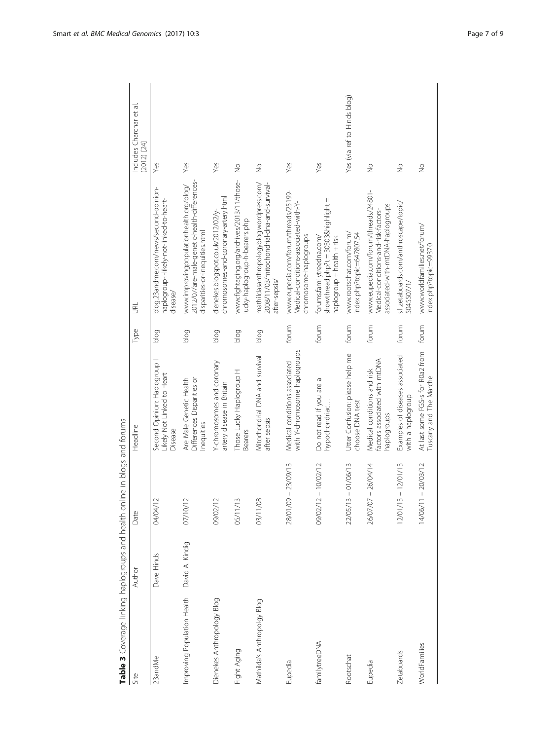<span id="page-6-0"></span>

| Table 3 Coverage linking haplogroups and health online in blogs and forums |                 |                         |                                                                             |       |                                                                                                                           |                                             |
|----------------------------------------------------------------------------|-----------------|-------------------------|-----------------------------------------------------------------------------|-------|---------------------------------------------------------------------------------------------------------------------------|---------------------------------------------|
| Site                                                                       | Author          | Date                    | Headline                                                                    | Type  | S                                                                                                                         | Includes Charchar et al.<br>$(2012)$ $[24]$ |
| 23andMe                                                                    | Dave Hinds      | 04/04/12                | Second Opinion: Haplogroup<br>Likely Not Linked to Heart<br>Disease         | blog  | blog.23andme.com/news/second-opinion-<br>haplogroup-i-likely-not-linked-to-heart-<br>disease/                             | Yes                                         |
| Improving Population Health                                                | David A. Kindig | 07/10/12                | Differences Disparities or<br>Are Male Genetic Health<br>Inequities         | blog  | 2012/07/are-male-genetic-health-differences-<br>www.improvingpopulationhealth.org/blog/<br>disparities-or-inequities.html | Yes                                         |
| Dienekes Anthropology Blog                                                 |                 | 09/02/12                | Y-chromosomes and coronary<br>artery disease in Britain                     | pop   | chromosomes-and-coronary-artery.html<br>dienekes.blogspot.co.uk/2012/02/y-                                                | Yes                                         |
| Fight Aging                                                                |                 | 05/11/13                | Those Lucky Haplogroup H<br>Bearers                                         | blog  | www.fightaging.org/archives/2013/11/those-<br>ucky-haplogroup-h-bearers.php                                               | $\frac{1}{2}$                               |
| Mathilda's Anthropolgy Blog                                                |                 | 03/11/08                | Mitochondrial DNA and survival<br>after sepsis                              | blog  | mathildasanthropologyblog.wordpress.com/<br>2008/11/03/mitochondrial-dna-and-survival-<br>after-sepsis/                   | $\frac{1}{2}$                               |
| Eupedia                                                                    |                 | $-23/09/13$<br>28/01/09 | with Y-chromosome haplogroups<br>Medical conditions associated              | forum | www.eupedia.com/forum/threads/25199-<br>Medical-conditions-associated-with-Y-<br>chromosome-haplogroups                   | Yes                                         |
| familytreeDNA                                                              |                 | $-10/02/12$<br>09/02/12 | Do not read if you are a<br>hypochondriac                                   | forum | showthread.php?t = 30303&highlight =<br>forums.familytreedna.com/<br>haplogroup + health + risk                           | Yes                                         |
| Rootschat                                                                  |                 | $-01/06/13$<br>22/05/13 | Utter Confusion: please help me<br>choose DNA test                          | forum | www.rootschat.com/forum/<br>ndex.php?topic=647807.54                                                                      | Yes (via ref to Hinds blog)                 |
| Eupedia                                                                    |                 | $-26/04/14$<br>26/07/07 | factors associated with mtDNA<br>Medical conditions and risk<br>haplogroups | forum | www.eupedia.com/forum/threads/24801-<br>associated-with-mtDNA-haplogroups<br>Medical-conditions-and-risk-factors-         | $\frac{1}{2}$                               |
| <b>Zetaboards</b>                                                          |                 | $-12/01/13$<br>12/01/13 | Examples of diseases associated<br>with a haplogroup                        | forum | s1 zetaboards.com/anthroscape/topic/<br>5045507/1/                                                                        | $\frac{1}{2}$                               |
| WorldFamilies                                                              |                 | $-20/03/12$<br>14/06/11 | At last some FGS-s for R0a2 from forum<br>Tuscany and The Marche            |       | www.worldfamilies.net/forum/<br>index.php?topic=9937.0                                                                    | $\frac{1}{2}$                               |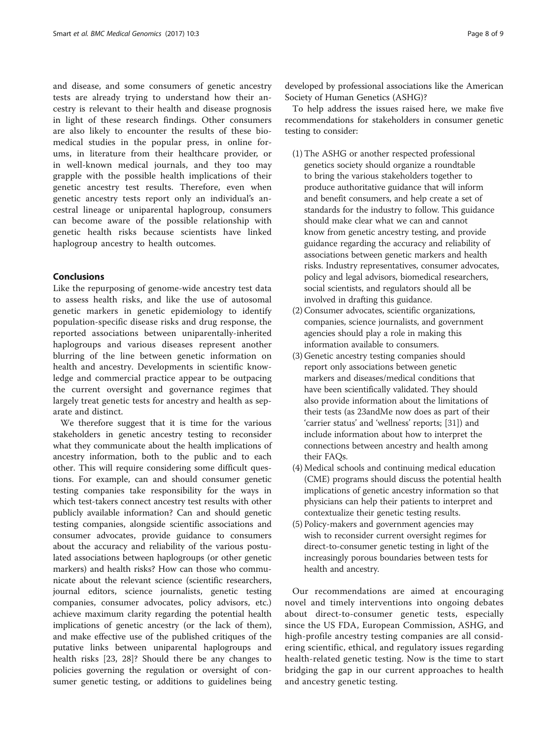and disease, and some consumers of genetic ancestry tests are already trying to understand how their ancestry is relevant to their health and disease prognosis in light of these research findings. Other consumers are also likely to encounter the results of these biomedical studies in the popular press, in online forums, in literature from their healthcare provider, or in well-known medical journals, and they too may grapple with the possible health implications of their genetic ancestry test results. Therefore, even when genetic ancestry tests report only an individual's ancestral lineage or uniparental haplogroup, consumers can become aware of the possible relationship with genetic health risks because scientists have linked haplogroup ancestry to health outcomes.

## Conclusions

Like the repurposing of genome-wide ancestry test data to assess health risks, and like the use of autosomal genetic markers in genetic epidemiology to identify population-specific disease risks and drug response, the reported associations between uniparentally-inherited haplogroups and various diseases represent another blurring of the line between genetic information on health and ancestry. Developments in scientific knowledge and commercial practice appear to be outpacing the current oversight and governance regimes that largely treat genetic tests for ancestry and health as separate and distinct.

We therefore suggest that it is time for the various stakeholders in genetic ancestry testing to reconsider what they communicate about the health implications of ancestry information, both to the public and to each other. This will require considering some difficult questions. For example, can and should consumer genetic testing companies take responsibility for the ways in which test-takers connect ancestry test results with other publicly available information? Can and should genetic testing companies, alongside scientific associations and consumer advocates, provide guidance to consumers about the accuracy and reliability of the various postulated associations between haplogroups (or other genetic markers) and health risks? How can those who communicate about the relevant science (scientific researchers, journal editors, science journalists, genetic testing companies, consumer advocates, policy advisors, etc.) achieve maximum clarity regarding the potential health implications of genetic ancestry (or the lack of them), and make effective use of the published critiques of the putative links between uniparental haplogroups and health risks [[23](#page-8-0), [28](#page-8-0)]? Should there be any changes to policies governing the regulation or oversight of consumer genetic testing, or additions to guidelines being

developed by professional associations like the American Society of Human Genetics (ASHG)?

To help address the issues raised here, we make five recommendations for stakeholders in consumer genetic testing to consider:

- (1) The ASHG or another respected professional genetics society should organize a roundtable to bring the various stakeholders together to produce authoritative guidance that will inform and benefit consumers, and help create a set of standards for the industry to follow. This guidance should make clear what we can and cannot know from genetic ancestry testing, and provide guidance regarding the accuracy and reliability of associations between genetic markers and health risks. Industry representatives, consumer advocates, policy and legal advisors, biomedical researchers, social scientists, and regulators should all be involved in drafting this guidance.
- (2) Consumer advocates, scientific organizations, companies, science journalists, and government agencies should play a role in making this information available to consumers.
- (3) Genetic ancestry testing companies should report only associations between genetic markers and diseases/medical conditions that have been scientifically validated. They should also provide information about the limitations of their tests (as 23andMe now does as part of their 'carrier status' and 'wellness' reports; [[31](#page-8-0)]) and include information about how to interpret the connections between ancestry and health among their FAQs.
- (4) Medical schools and continuing medical education (CME) programs should discuss the potential health implications of genetic ancestry information so that physicians can help their patients to interpret and contextualize their genetic testing results.
- (5) Policy-makers and government agencies may wish to reconsider current oversight regimes for direct-to-consumer genetic testing in light of the increasingly porous boundaries between tests for health and ancestry.

Our recommendations are aimed at encouraging novel and timely interventions into ongoing debates about direct-to-consumer genetic tests, especially since the US FDA, European Commission, ASHG, and high-profile ancestry testing companies are all considering scientific, ethical, and regulatory issues regarding health-related genetic testing. Now is the time to start bridging the gap in our current approaches to health and ancestry genetic testing.